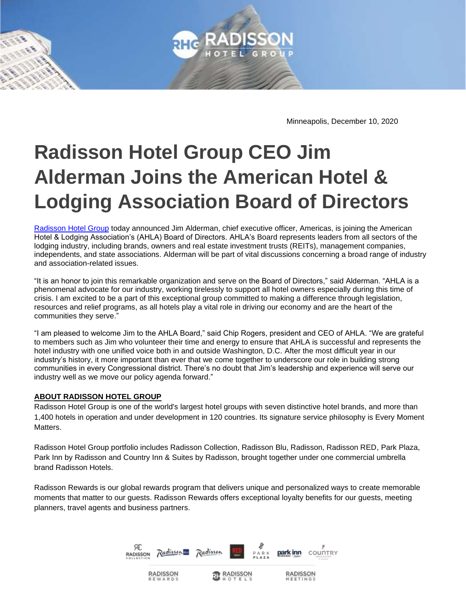

Minneapolis, December 10, 2020

## **Radisson Hotel Group CEO Jim Alderman Joins the American Hotel & Lodging Association Board of Directors**

[Radisson Hotel Group](https://www.radissonhotelgroup.com/) today announced Jim Alderman, chief executive officer, Americas, is joining the American Hotel & Lodging Association's (AHLA) Board of Directors. AHLA's Board represents leaders from all sectors of the lodging industry, including brands, owners and real estate investment trusts (REITs), management companies, independents, and state associations. Alderman will be part of vital discussions concerning a broad range of industry and association-related issues.

"It is an honor to join this remarkable organization and serve on the Board of Directors," said Alderman. "AHLA is a phenomenal advocate for our industry, working tirelessly to support all hotel owners especially during this time of crisis. I am excited to be a part of this exceptional group committed to making a difference through legislation, resources and relief programs, as all hotels play a vital role in driving our economy and are the heart of the communities they serve."

"I am pleased to welcome Jim to the AHLA Board," said Chip Rogers, president and CEO of AHLA. "We are grateful to members such as Jim who volunteer their time and energy to ensure that AHLA is successful and represents the hotel industry with one unified voice both in and outside Washington, D.C. After the most difficult year in our industry's history, it more important than ever that we come together to underscore our role in building strong communities in every Congressional district. There's no doubt that Jim's leadership and experience will serve our industry well as we move our policy agenda forward."

## **ABOUT RADISSON HOTEL GROUP**

Radisson Hotel Group is one of the world's largest hotel groups with seven distinctive hotel brands, and more than 1,400 hotels in operation and under development in 120 countries. Its signature service philosophy is Every Moment Matters.

Radisson Hotel Group portfolio includes Radisson Collection, Radisson Blu, Radisson, Radisson RED, Park Plaza, Park Inn by Radisson and Country Inn & Suites by Radisson, brought together under one commercial umbrella brand Radisson Hotels.

Radisson Rewards is our global rewards program that delivers unique and personalized ways to create memorable moments that matter to our guests. Radisson Rewards offers exceptional loyalty benefits for our guests, meeting planners, travel agents and business partners.